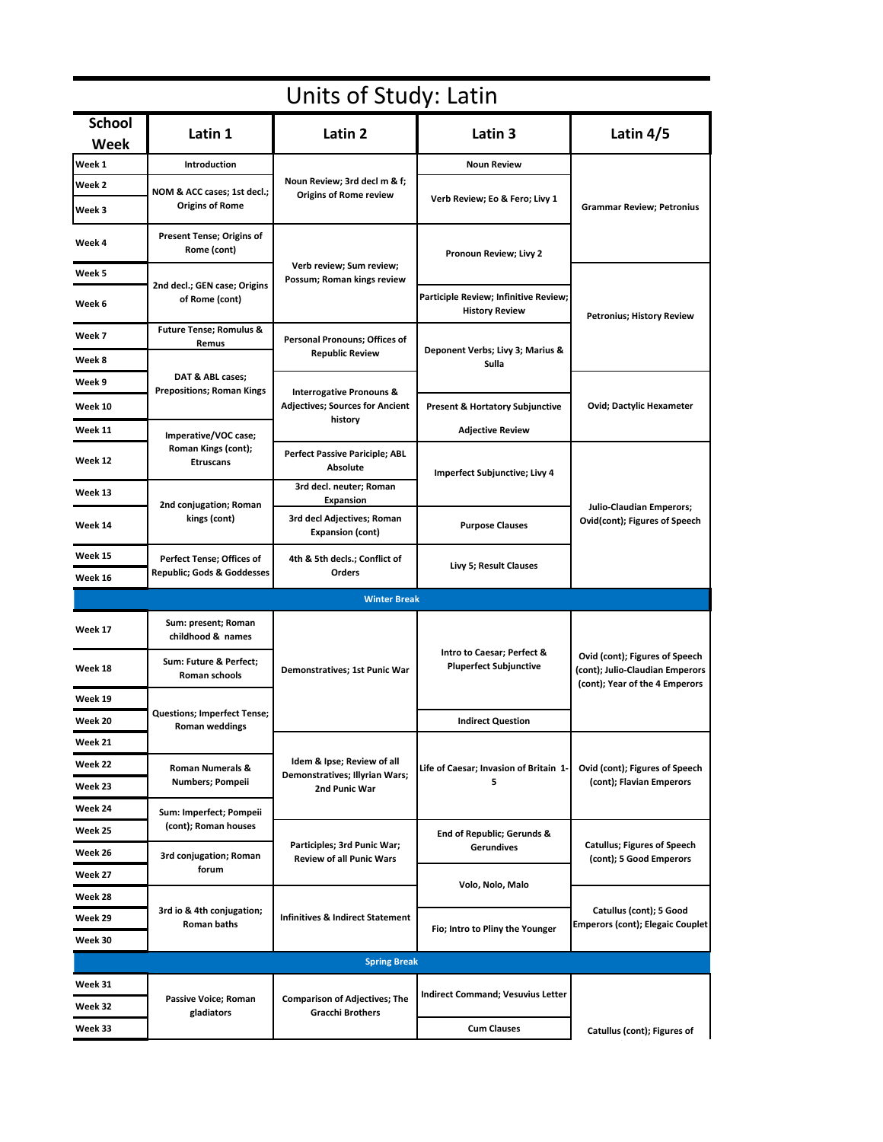| Units of Study: Latin |                                                                                                                             |                                                                                          |                                                                |                                                                                                     |  |  |  |
|-----------------------|-----------------------------------------------------------------------------------------------------------------------------|------------------------------------------------------------------------------------------|----------------------------------------------------------------|-----------------------------------------------------------------------------------------------------|--|--|--|
| <b>School</b><br>Week | Latin 1                                                                                                                     | Latin 2                                                                                  | Latin 3                                                        | Latin $4/5$                                                                                         |  |  |  |
| Week 1                | <b>Introduction</b>                                                                                                         | Noun Review; 3rd decl m & f;<br><b>Origins of Rome review</b>                            | <b>Noun Review</b>                                             | <b>Grammar Review; Petronius</b>                                                                    |  |  |  |
| Week 2                | NOM & ACC cases; 1st decl.;<br><b>Origins of Rome</b>                                                                       |                                                                                          | Verb Review; Eo & Fero; Livy 1                                 |                                                                                                     |  |  |  |
| Week 3                |                                                                                                                             |                                                                                          |                                                                |                                                                                                     |  |  |  |
| Week 4                | Present Tense; Origins of<br>Rome (cont)                                                                                    | Verb review; Sum review;<br>Possum; Roman kings review                                   | Pronoun Review; Livy 2                                         |                                                                                                     |  |  |  |
| Week 5                | 2nd decl.; GEN case; Origins<br>of Rome (cont)                                                                              |                                                                                          |                                                                | <b>Petronius; History Review</b>                                                                    |  |  |  |
| Week 6                |                                                                                                                             |                                                                                          | Participle Review; Infinitive Review;<br><b>History Review</b> |                                                                                                     |  |  |  |
| Week 7                | <b>Future Tense; Romulus &amp;</b><br>Remus<br>DAT & ABL cases;<br><b>Prepositions; Roman Kings</b><br>Imperative/VOC case; | Personal Pronouns; Offices of<br><b>Republic Review</b>                                  | Deponent Verbs; Livy 3; Marius &<br>Sulla                      |                                                                                                     |  |  |  |
| Week 8                |                                                                                                                             |                                                                                          |                                                                |                                                                                                     |  |  |  |
| Week 9                |                                                                                                                             | <b>Interrogative Pronouns &amp;</b><br><b>Adjectives; Sources for Ancient</b><br>history |                                                                |                                                                                                     |  |  |  |
| Week 10               |                                                                                                                             |                                                                                          | <b>Present &amp; Hortatory Subjunctive</b>                     | <b>Ovid; Dactylic Hexameter</b>                                                                     |  |  |  |
| Week 11               |                                                                                                                             |                                                                                          | <b>Adjective Review</b>                                        |                                                                                                     |  |  |  |
| Week 12               | Roman Kings (cont);<br><b>Etruscans</b>                                                                                     | Perfect Passive Pariciple; ABL<br><b>Absolute</b>                                        | <b>Imperfect Subjunctive; Livy 4</b>                           | <b>Julio-Claudian Emperors;</b><br>Ovid(cont); Figures of Speech                                    |  |  |  |
| Week 13               | 2nd conjugation; Roman<br>kings (cont)                                                                                      | 3rd decl. neuter; Roman<br><b>Expansion</b>                                              |                                                                |                                                                                                     |  |  |  |
| Week 14               |                                                                                                                             | 3rd decl Adjectives; Roman<br><b>Expansion (cont)</b>                                    | <b>Purpose Clauses</b>                                         |                                                                                                     |  |  |  |
| Week 15               | Perfect Tense; Offices of                                                                                                   | 4th & 5th decls.; Conflict of                                                            | Livy 5; Result Clauses                                         |                                                                                                     |  |  |  |
| Week 16               | <b>Republic; Gods &amp; Goddesses</b>                                                                                       | Orders                                                                                   |                                                                |                                                                                                     |  |  |  |
|                       |                                                                                                                             | <b>Winter Break</b>                                                                      |                                                                |                                                                                                     |  |  |  |
| Week 17               | Sum: present; Roman<br>childhood & names                                                                                    | Demonstratives; 1st Punic War                                                            | Intro to Caesar; Perfect &<br><b>Pluperfect Subjunctive</b>    | Ovid (cont); Figures of Speech<br>(cont); Julio-Claudian Emperors<br>(cont); Year of the 4 Emperors |  |  |  |
| Week 18               | Sum: Future & Perfect;<br>Roman schools                                                                                     |                                                                                          |                                                                |                                                                                                     |  |  |  |
| Week 19               | <b>Questions; Imperfect Tense;</b><br><b>Roman weddings</b>                                                                 |                                                                                          |                                                                |                                                                                                     |  |  |  |
| Week 20               |                                                                                                                             |                                                                                          | <b>Indirect Question</b>                                       |                                                                                                     |  |  |  |
| Week 21               |                                                                                                                             |                                                                                          |                                                                | Ovid (cont); Figures of Speech<br>(cont); Flavian Emperors                                          |  |  |  |
| Week 22               | <b>Roman Numerals &amp;</b><br>Numbers; Pompeii                                                                             | Idem & Ipse; Review of all<br>Demonstratives; Illyrian Wars;<br>2nd Punic War            | Life of Caesar; Invasion of Britain 1-<br>5                    |                                                                                                     |  |  |  |
| Week 23               |                                                                                                                             |                                                                                          |                                                                |                                                                                                     |  |  |  |
| Week 24               | Sum: Imperfect; Pompeii                                                                                                     |                                                                                          |                                                                |                                                                                                     |  |  |  |
| Week 25               | (cont); Roman houses                                                                                                        |                                                                                          | End of Republic; Gerunds &<br>Gerundives<br>Volo, Nolo, Malo   | <b>Catullus</b> ; Figures of Speech<br>(cont); 5 Good Emperors                                      |  |  |  |
| Week 26               | 3rd conjugation; Roman                                                                                                      | Participles; 3rd Punic War;<br><b>Review of all Punic Wars</b>                           |                                                                |                                                                                                     |  |  |  |
| Week 27               | forum                                                                                                                       |                                                                                          |                                                                |                                                                                                     |  |  |  |
| Week 28               | 3rd io & 4th conjugation;<br>Roman baths                                                                                    | <b>Infinitives &amp; Indirect Statement</b>                                              |                                                                | Catullus (cont); 5 Good<br><b>Emperors (cont); Elegaic Couplet</b>                                  |  |  |  |
| Week 29               |                                                                                                                             |                                                                                          | Fio; Intro to Pliny the Younger                                |                                                                                                     |  |  |  |
| Week 30               |                                                                                                                             |                                                                                          |                                                                |                                                                                                     |  |  |  |
|                       |                                                                                                                             | <b>Spring Break</b>                                                                      |                                                                |                                                                                                     |  |  |  |
| Week 31               |                                                                                                                             |                                                                                          |                                                                |                                                                                                     |  |  |  |
| Week 32               | Passive Voice; Roman<br>gladiators                                                                                          | <b>Comparison of Adjectives; The</b><br><b>Gracchi Brothers</b>                          | <b>Indirect Command; Vesuvius Letter</b>                       |                                                                                                     |  |  |  |
| Week 33               |                                                                                                                             |                                                                                          | <b>Cum Clauses</b>                                             | Catullus (cont); Figures of                                                                         |  |  |  |